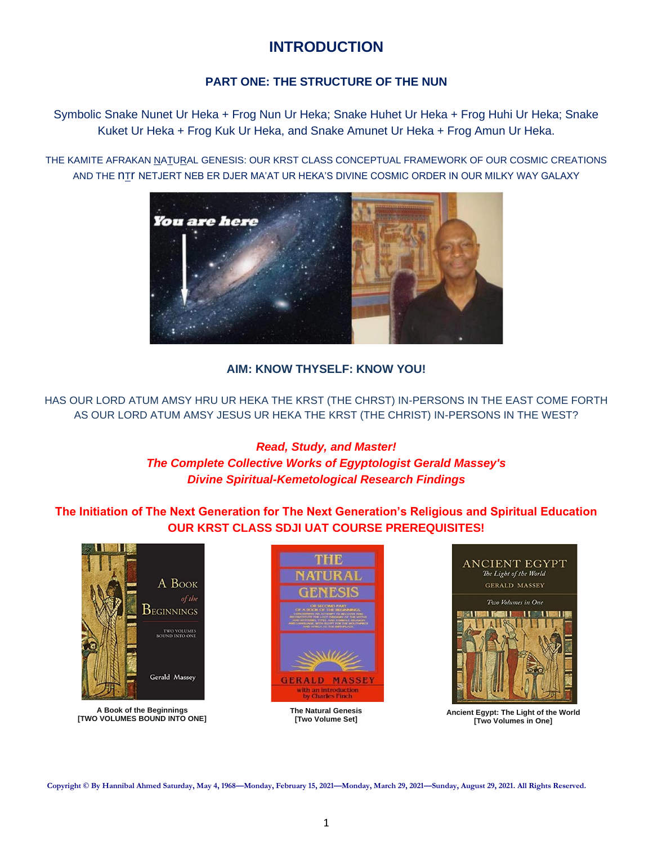# **INTRODUCTION**

# **PART ONE: THE STRUCTURE OF THE NUN**

Symbolic Snake Nunet Ur Heka + Frog Nun Ur Heka; Snake Huhet Ur Heka + Frog Huhi Ur Heka; Snake Kuket Ur Heka + Frog Kuk Ur Heka, and Snake Amunet Ur Heka + Frog Amun Ur Heka.

THE KAMITE AFRAKAN NATURAL GENESIS: OUR KRST CLASS CONCEPTUAL FRAMEWORK OF OUR COSMIC CREATIONS AND THE NIT NETJERT NEB ER DJER MA'AT UR HEKA'S DIVINE COSMIC ORDER IN OUR MILKY WAY GALAXY



**AIM: KNOW THYSELF: KNOW YOU!**

HAS OUR LORD ATUM AMSY HRU UR HEKA THE KRST (THE CHRST) IN-PERSONS IN THE EAST COME FORTH AS OUR LORD ATUM AMSY JESUS UR HEKA THE KRST (THE CHRIST) IN-PERSONS IN THE WEST?

# *Read, Study, and Master!*

*The Complete Collective Works of Egyptologist Gerald Massey's Divine Spiritual-Kemetological Research Findings*

# **The Initiation of The Next Generation for The Next Generation's Religious and Spiritual Education OUR KRST CLASS SDJI UAT COURSE PREREQUISITES!**



**A Book of the Beginnings [TWO VOLUMES BOUND INTO ONE]**



**The Natural Genesis [Two Volume Set]**



**Ancient Egypt: The Light of the World [Two Volumes in One]**

**Copyright © By Hannibal Ahmed Saturday, May 4, 1968—Monday, February 15, 2021—Monday, March 29, 2021—Sunday, August 29, 2021. All Rights Reserved.**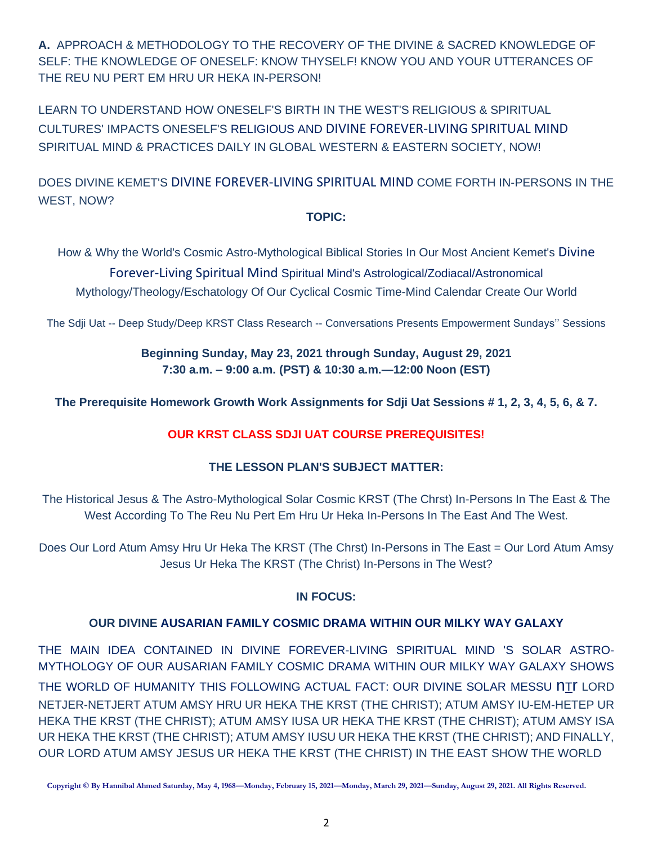**A.** APPROACH & METHODOLOGY TO THE RECOVERY OF THE DIVINE & SACRED KNOWLEDGE OF SELF: THE KNOWLEDGE OF ONESELF: KNOW THYSELF! KNOW YOU AND YOUR UTTERANCES OF THE REU NU PERT EM HRU UR HEKA IN-PERSON!

LEARN TO UNDERSTAND HOW ONESELF'S BIRTH IN THE WEST'S RELIGIOUS & SPIRITUAL CULTURES' IMPACTS ONESELF'S RELIGIOUS AND DIVINE FOREVER-LIVING SPIRITUAL MIND SPIRITUAL MIND & PRACTICES DAILY IN GLOBAL WESTERN & EASTERN SOCIETY, NOW!

DOES DIVINE KEMET'S DIVINE FOREVER-LIVING SPIRITUAL MIND COME FORTH IN-PERSONS IN THE WEST, NOW?

# **TOPIC:**

How & Why the World's Cosmic Astro-Mythological Biblical Stories In Our Most Ancient Kemet's Divine

Forever-Living Spiritual Mind Spiritual Mind's Astrological/Zodiacal/Astronomical Mythology/Theology/Eschatology Of Our Cyclical Cosmic Time-Mind Calendar Create Our World

The Sdji Uat -- Deep Study/Deep KRST Class Research -- Conversations Presents Empowerment Sundays'' Sessions

# **Beginning Sunday, May 23, 2021 through Sunday, August 29, 2021 7:30 a.m. – 9:00 a.m. (PST) & 10:30 a.m.—12:00 Noon (EST)**

**The Prerequisite Homework Growth Work Assignments for Sdji Uat Sessions # 1, 2, 3, 4, 5, 6, & 7.**

# **OUR KRST CLASS SDJI UAT COURSE PREREQUISITES!**

# **THE LESSON PLAN'S SUBJECT MATTER:**

The Historical Jesus & The Astro-Mythological Solar Cosmic KRST (The Chrst) In-Persons In The East & The West According To The Reu Nu Pert Em Hru Ur Heka In-Persons In The East And The West.

Does Our Lord Atum Amsy Hru Ur Heka The KRST (The Chrst) In-Persons in The East = Our Lord Atum Amsy Jesus Ur Heka The KRST (The Christ) In-Persons in The West?

# **IN FOCUS:**

# **OUR DIVINE AUSARIAN FAMILY COSMIC DRAMA WITHIN OUR MILKY WAY GALAXY**

THE MAIN IDEA CONTAINED IN DIVINE FOREVER-LIVING SPIRITUAL MIND 'S SOLAR ASTRO-MYTHOLOGY OF OUR AUSARIAN FAMILY COSMIC DRAMA WITHIN OUR MILKY WAY GALAXY SHOWS THE WORLD OF HUMANITY THIS FOLLOWING ACTUAL FACT: OUR DIVINE SOLAR MESSU nTr LORD NETJER-NETJERT ATUM AMSY HRU UR HEKA THE KRST (THE CHRIST); ATUM AMSY IU-EM-HETEP UR HEKA THE KRST (THE CHRIST); ATUM AMSY IUSA UR HEKA THE KRST (THE CHRIST); ATUM AMSY ISA UR HEKA THE KRST (THE CHRIST); ATUM AMSY IUSU UR HEKA THE KRST (THE CHRIST); AND FINALLY, OUR LORD ATUM AMSY JESUS UR HEKA THE KRST (THE CHRIST) IN THE EAST SHOW THE WORLD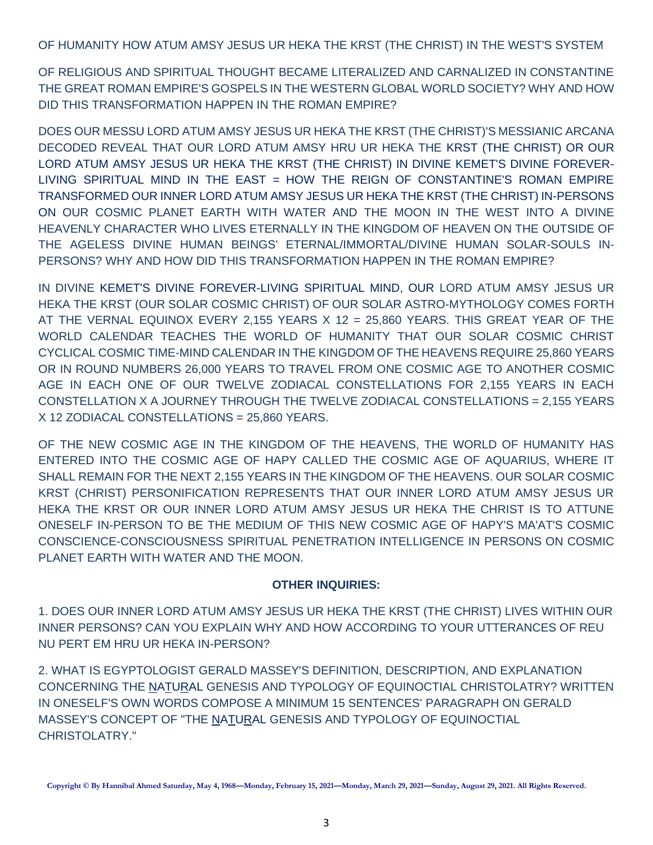OF HUMANITY HOW ATUM AMSY JESUS UR HEKA THE KRST (THE CHRIST) IN THE WEST'S SYSTEM

OF RELIGIOUS AND SPIRITUAL THOUGHT BECAME LITERALIZED AND CARNALIZED IN CONSTANTINE THE GREAT ROMAN EMPIRE'S GOSPELS IN THE WESTERN GLOBAL WORLD SOCIETY? WHY AND HOW DID THIS TRANSFORMATION HAPPEN IN THE ROMAN EMPIRE?

DOES OUR MESSU LORD ATUM AMSY JESUS UR HEKA THE KRST (THE CHRIST)'S MESSIANIC ARCANA DECODED REVEAL THAT OUR LORD ATUM AMSY HRU UR HEKA THE KRST (THE CHRIST) OR OUR LORD ATUM AMSY JESUS UR HEKA THE KRST (THE CHRIST) IN DIVINE KEMET'S DIVINE FOREVER-LIVING SPIRITUAL MIND IN THE EAST = HOW THE REIGN OF CONSTANTINE'S ROMAN EMPIRE TRANSFORMED OUR INNER LORD ATUM AMSY JESUS UR HEKA THE KRST (THE CHRIST) IN-PERSONS ON OUR COSMIC PLANET EARTH WITH WATER AND THE MOON IN THE WEST INTO A DIVINE HEAVENLY CHARACTER WHO LIVES ETERNALLY IN THE KINGDOM OF HEAVEN ON THE OUTSIDE OF THE AGELESS DIVINE HUMAN BEINGS' ETERNAL/IMMORTAL/DIVINE HUMAN SOLAR-SOULS IN-PERSONS? WHY AND HOW DID THIS TRANSFORMATION HAPPEN IN THE ROMAN EMPIRE?

IN DIVINE KEMET'S DIVINE FOREVER-LIVING SPIRITUAL MIND, OUR LORD ATUM AMSY JESUS UR HEKA THE KRST (OUR SOLAR COSMIC CHRIST) OF OUR SOLAR ASTRO-MYTHOLOGY COMES FORTH AT THE VERNAL EQUINOX EVERY 2,155 YEARS X 12 = 25,860 YEARS. THIS GREAT YEAR OF THE WORLD CALENDAR TEACHES THE WORLD OF HUMANITY THAT OUR SOLAR COSMIC CHRIST CYCLICAL COSMIC TIME-MIND CALENDAR IN THE KINGDOM OF THE HEAVENS REQUIRE 25,860 YEARS OR IN ROUND NUMBERS 26,000 YEARS TO TRAVEL FROM ONE COSMIC AGE TO ANOTHER COSMIC AGE IN EACH ONE OF OUR TWELVE ZODIACAL CONSTELLATIONS FOR 2,155 YEARS IN EACH CONSTELLATION X A JOURNEY THROUGH THE TWELVE ZODIACAL CONSTELLATIONS = 2,155 YEARS X 12 ZODIACAL CONSTELLATIONS = 25,860 YEARS.

OF THE NEW COSMIC AGE IN THE KINGDOM OF THE HEAVENS, THE WORLD OF HUMANITY HAS ENTERED INTO THE COSMIC AGE OF HAPY CALLED THE COSMIC AGE OF AQUARIUS, WHERE IT SHALL REMAIN FOR THE NEXT 2,155 YEARS IN THE KINGDOM OF THE HEAVENS. OUR SOLAR COSMIC KRST (CHRIST) PERSONIFICATION REPRESENTS THAT OUR INNER LORD ATUM AMSY JESUS UR HEKA THE KRST OR OUR INNER LORD ATUM AMSY JESUS UR HEKA THE CHRIST IS TO ATTUNE ONESELF IN-PERSON TO BE THE MEDIUM OF THIS NEW COSMIC AGE OF HAPY'S MA'AT'S COSMIC CONSCIENCE-CONSCIOUSNESS SPIRITUAL PENETRATION INTELLIGENCE IN PERSONS ON COSMIC PLANET EARTH WITH WATER AND THE MOON.

## **OTHER INQUIRIES:**

1. DOES OUR INNER LORD ATUM AMSY JESUS UR HEKA THE KRST (THE CHRIST) LIVES WITHIN OUR INNER PERSONS? CAN YOU EXPLAIN WHY AND HOW ACCORDING TO YOUR UTTERANCES OF REU NU PERT EM HRU UR HEKA IN-PERSON?

2. WHAT IS EGYPTOLOGIST GERALD MASSEY'S DEFINITION, DESCRIPTION, AND EXPLANATION CONCERNING THE NATURAL GENESIS AND TYPOLOGY OF EQUINOCTIAL CHRISTOLATRY? WRITTEN IN ONESELF'S OWN WORDS COMPOSE A MINIMUM 15 SENTENCES' PARAGRAPH ON GERALD MASSEY'S CONCEPT OF "THE NATURAL GENESIS AND TYPOLOGY OF EQUINOCTIAL CHRISTOLATRY."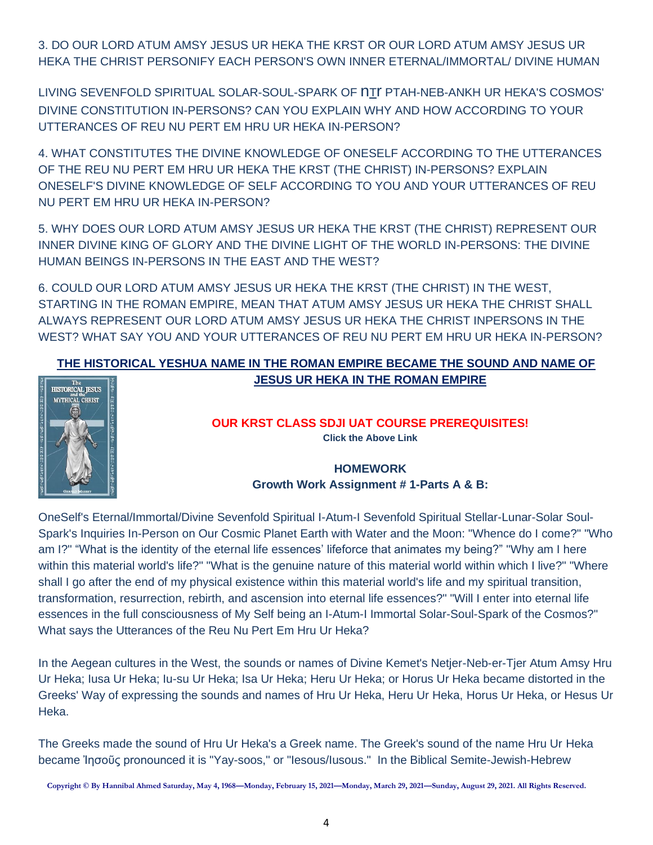3. DO OUR LORD ATUM AMSY JESUS UR HEKA THE KRST OR OUR LORD ATUM AMSY JESUS UR HEKA THE CHRIST PERSONIFY EACH PERSON'S OWN INNER ETERNAL/IMMORTAL/ DIVINE HUMAN

LIVING SEVENFOLD SPIRITUAL SOLAR-SOUL-SPARK OF nTr PTAH-NEB-ANKH UR HEKA'S COSMOS' DIVINE CONSTITUTION IN-PERSONS? CAN YOU EXPLAIN WHY AND HOW ACCORDING TO YOUR UTTERANCES OF REU NU PERT EM HRU UR HEKA IN-PERSON?

4. WHAT CONSTITUTES THE DIVINE KNOWLEDGE OF ONESELF ACCORDING TO THE UTTERANCES OF THE REU NU PERT EM HRU UR HEKA THE KRST (THE CHRIST) IN-PERSONS? EXPLAIN ONESELF'S DIVINE KNOWLEDGE OF SELF ACCORDING TO YOU AND YOUR UTTERANCES OF REU NU PERT EM HRU UR HEKA IN-PERSON?

5. WHY DOES OUR LORD ATUM AMSY JESUS UR HEKA THE KRST (THE CHRIST) REPRESENT OUR INNER DIVINE KING OF GLORY AND THE DIVINE LIGHT OF THE WORLD IN-PERSONS: THE DIVINE HUMAN BEINGS IN-PERSONS IN THE EAST AND THE WEST?

6. COULD OUR LORD ATUM AMSY JESUS UR HEKA THE KRST (THE CHRIST) IN THE WEST, STARTING IN THE ROMAN EMPIRE, MEAN THAT ATUM AMSY JESUS UR HEKA THE CHRIST SHALL ALWAYS REPRESENT OUR LORD ATUM AMSY JESUS UR HEKA THE CHRIST INPERSONS IN THE WEST? WHAT SAY YOU AND YOUR UTTERANCES OF REU NU PERT EM HRU UR HEKA IN-PERSON?

# **[THE HISTORICAL YESHUA NAME IN THE ROMAN EMPIRE BECAME THE SOUND AND NAME OF](https://www.amazon.com/Historical-Jesus-Mythical-Christ/dp/1881316041/ref=pd_ybh_a_6?_encoding=UTF8&psc=1&refRID=GXXHM0QVJDHHE3B9KRCV)  [JESUS UR HEKA IN THE](https://www.amazon.com/Historical-Jesus-Mythical-Christ/dp/1881316041/ref=pd_ybh_a_6?_encoding=UTF8&psc=1&refRID=GXXHM0QVJDHHE3B9KRCV) ROMAN EMPIRE**



#### **OUR KRST CLASS SDJI UAT COURSE PREREQUISITES! Click the Above Link**

# **HOMEWORK Growth Work Assignment # 1-Parts A & B:**

OneSelf's Eternal/Immortal/Divine Sevenfold Spiritual I-Atum-I Sevenfold Spiritual Stellar-Lunar-Solar Soul-Spark's Inquiries In-Person on Our Cosmic Planet Earth with Water and the Moon: "Whence do I come?" "Who am I?" "What is the identity of the eternal life essences' lifeforce that animates my being?" "Why am I here within this material world's life?" "What is the genuine nature of this material world within which I live?" "Where shall I go after the end of my physical existence within this material world's life and my spiritual transition, transformation, resurrection, rebirth, and ascension into eternal life essences?" "Will I enter into eternal life essences in the full consciousness of My Self being an I-Atum-I Immortal Solar-Soul-Spark of the Cosmos?" What says the Utterances of the Reu Nu Pert Em Hru Ur Heka?

In the Aegean cultures in the West, the sounds or names of Divine Kemet's Netjer-Neb-er-Tjer Atum Amsy Hru Ur Heka; Iusa Ur Heka; Iu-su Ur Heka; Isa Ur Heka; Heru Ur Heka; or Horus Ur Heka became distorted in the Greeks' Way of expressing the sounds and names of Hru Ur Heka, Heru Ur Heka, Horus Ur Heka, or Hesus Ur Heka.

The Greeks made the sound of Hru Ur Heka's a Greek name. The Greek's sound of the name Hru Ur Heka became Ἰησοῦς pronounced it is "Yay-soos," or "Iesous/Iusous." In the Biblical Semite-Jewish-Hebrew

**Copyright © By Hannibal Ahmed Saturday, May 4, 1968—Monday, February 15, 2021—Monday, March 29, 2021—Sunday, August 29, 2021. All Rights Reserved.**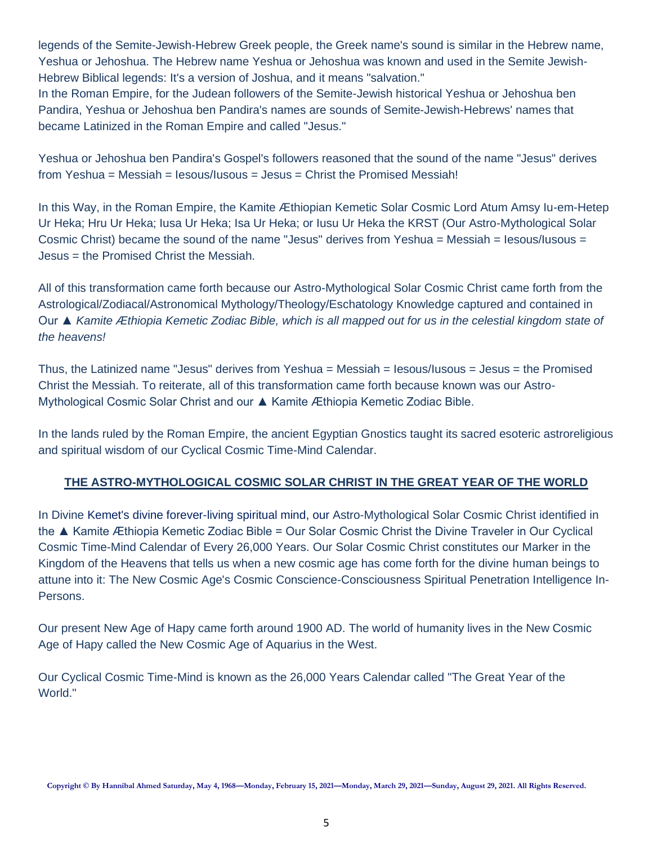legends of the Semite-Jewish-Hebrew Greek people, the Greek name's sound is similar in the Hebrew name, Yeshua or Jehoshua. The Hebrew name Yeshua or Jehoshua was known and used in the Semite Jewish-Hebrew Biblical legends: It's a version of Joshua, and it means "salvation."

In the Roman Empire, for the Judean followers of the Semite-Jewish historical Yeshua or Jehoshua ben Pandira, Yeshua or Jehoshua ben Pandira's names are sounds of Semite-Jewish-Hebrews' names that became Latinized in the Roman Empire and called "Jesus."

Yeshua or Jehoshua ben Pandira's Gospel's followers reasoned that the sound of the name "Jesus" derives from Yeshua = Messiah = Iesous/Iusous = Jesus = Christ the Promised Messiah!

In this Way, in the Roman Empire, the Kamite Æthiopian Kemetic Solar Cosmic Lord Atum Amsy Iu-em-Hetep Ur Heka; Hru Ur Heka; Iusa Ur Heka; Isa Ur Heka; or Iusu Ur Heka the KRST (Our Astro-Mythological Solar Cosmic Christ) became the sound of the name "Jesus" derives from Yeshua = Messiah = Iesous/Iusous = Jesus = the Promised Christ the Messiah.

All of this transformation came forth because our Astro-Mythological Solar Cosmic Christ came forth from the Astrological/Zodiacal/Astronomical Mythology/Theology/Eschatology Knowledge captured and contained in Our ▲ *Kamite Æthiopia Kemetic Zodiac Bible, which is all mapped out for us in the celestial kingdom state of the heavens!*

Thus, the Latinized name "Jesus" derives from Yeshua = Messiah = Iesous/Iusous = Jesus = the Promised Christ the Messiah. To reiterate, all of this transformation came forth because known was our Astro-Mythological Cosmic Solar Christ and our ▲ Kamite Æthiopia Kemetic Zodiac Bible.

In the lands ruled by the Roman Empire, the ancient Egyptian Gnostics taught its sacred esoteric astroreligious and spiritual wisdom of our Cyclical Cosmic Time-Mind Calendar.

# **THE ASTRO-MYTHOLOGICAL COSMIC SOLAR CHRIST IN THE GREAT YEAR OF THE WORLD**

In Divine Kemet's divine forever-living spiritual mind, our Astro-Mythological Solar Cosmic Christ identified in the ▲ Kamite Æthiopia Kemetic Zodiac Bible = Our Solar Cosmic Christ the Divine Traveler in Our Cyclical Cosmic Time-Mind Calendar of Every 26,000 Years. Our Solar Cosmic Christ constitutes our Marker in the Kingdom of the Heavens that tells us when a new cosmic age has come forth for the divine human beings to attune into it: The New Cosmic Age's Cosmic Conscience-Consciousness Spiritual Penetration Intelligence In-Persons.

Our present New Age of Hapy came forth around 1900 AD. The world of humanity lives in the New Cosmic Age of Hapy called the New Cosmic Age of Aquarius in the West.

Our Cyclical Cosmic Time-Mind is known as the 26,000 Years Calendar called "The Great Year of the World."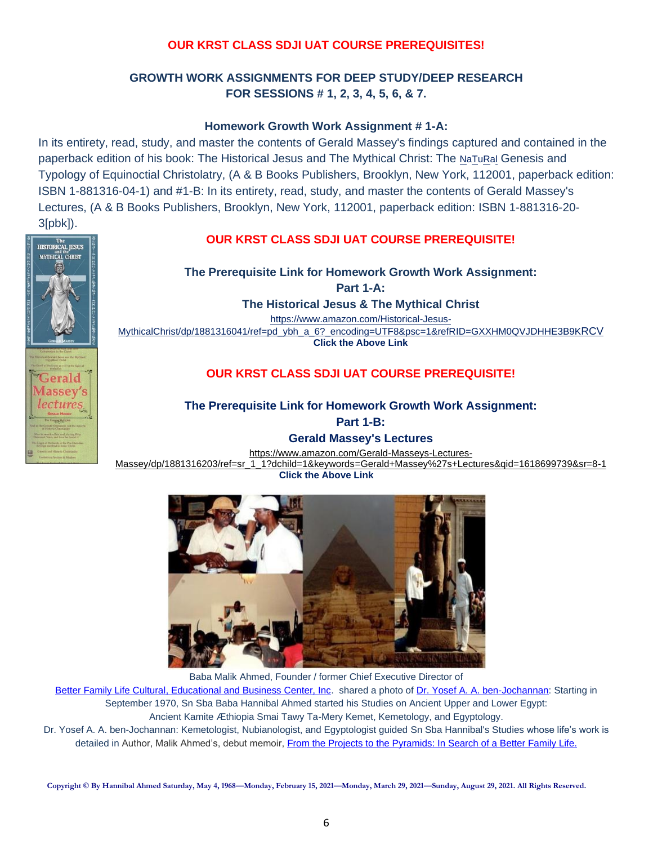# **OUR KRST CLASS SDJI UAT COURSE PREREQUISITES!**

# **GROWTH WORK ASSIGNMENTS FOR DEEP STUDY/DEEP RESEARCH FOR SESSIONS # 1, 2, 3, 4, 5, 6, & 7.**

## **Homework Growth Work Assignment # 1-A:**

In its entirety, read, study, and master the contents of Gerald Massey's findings captured and contained in the paperback edition of his book: The Historical Jesus and The Mythical Christ: The NaTuRal Genesis and Typology of Equinoctial Christolatry, (A & B Books Publishers, Brooklyn, New York, 112001, paperback edition: ISBN 1-881316-04-1) and #1-B: In its entirety, read, study, and master the contents of Gerald Massey's Lectures, (A & B Books Publishers, Brooklyn, New York, 112001, paperback edition: ISBN 1-881316-20- 3[pbk]).

The<br>HISTORICAL JESUS MYTHICAL CHRIST

> erald assev's ecture

## **OUR KRST CLASS SDJI UAT COURSE PREREQUISITE!**

**The Prerequisite Link for Homework Growth Work Assignment:**

**Part 1-A:** 

**The Historical Jesus & The Mythical Christ**

[https://www.amazon.com/Historical-Jesus-](https://www.amazon.com/Historical-Jesus-MythicalChrist/dp/1881316041/ref=pd_ybh_a_6?_encoding=UTF8&psc=1&refRID=GXXHM0QVJDHHE3B9KRCV)

[MythicalChrist/dp/1881316041/ref=pd\\_ybh\\_a\\_6?\\_encoding=UTF8&psc=1&refRID=GXXHM0QVJDHHE3B9K](https://www.amazon.com/Historical-Jesus-MythicalChrist/dp/1881316041/ref=pd_ybh_a_6?_encoding=UTF8&psc=1&refRID=GXXHM0QVJDHHE3B9KRCV)RCV **Click the Above Link**

## **OUR KRST CLASS SDJI UAT COURSE PREREQUISITE!**

### **The Prerequisite Link for Homework Growth Work Assignment:**

**Part 1-B:** 

**Gerald Massey's Lectures** [https://www.amazon.com/Gerald-Masseys-Lectures-](https://www.amazon.com/Gerald-Masseys-Lectures-Massey/dp/1881316203/ref=sr_1_1?dchild=1&keywords=Gerald+Massey%27s+Lectures&qid=1618699739&sr=8-1)[Massey/dp/1881316203/ref=sr\\_1\\_1?dchild=1&keywords=Gerald+Massey%27s+Lectures&qid=1618699739&sr=8-1](https://www.amazon.com/Gerald-Masseys-Lectures-Massey/dp/1881316203/ref=sr_1_1?dchild=1&keywords=Gerald+Massey%27s+Lectures&qid=1618699739&sr=8-1)

**Click the Above Link**



Baba Malik Ahmed, Founder / former Chief Executive Director of

Better Family Life Cultural, [Educational and Business Center, Inc.](https://www.betterfamilylife.org/) shared a photo o[f Dr. Yosef A. A. ben-Jochannan:](https://www.youtube.com/results?search_query=the+works+of+dr.+yosef+ben+jochannan) Starting in September 1970, Sn Sba Baba Hannibal Ahmed started his Studies on Ancient Upper and Lower Egypt: Ancient Kamite Æthiopia Smai Tawy Ta-Mery Kemet, Kemetology, and Egyptology.

Dr. Yosef A. A. ben-Jochannan: Kemetologist, Nubianologist, and Egyptologist guided Sn Sba Hannibal's Studies whose life's work is detailed in Author, Malik Ahmed's, debut memoir, [From the Projects to the Pyramids: In Search of a Better Family Life.](https://www.amazon.com/Projects-Pyramids-Search-Better-Family/dp/1734097019)

**Copyright © By Hannibal Ahmed Saturday, May 4, 1968—Monday, February 15, 2021—Monday, March 29, 2021—Sunday, August 29, 2021. All Rights Reserved.**